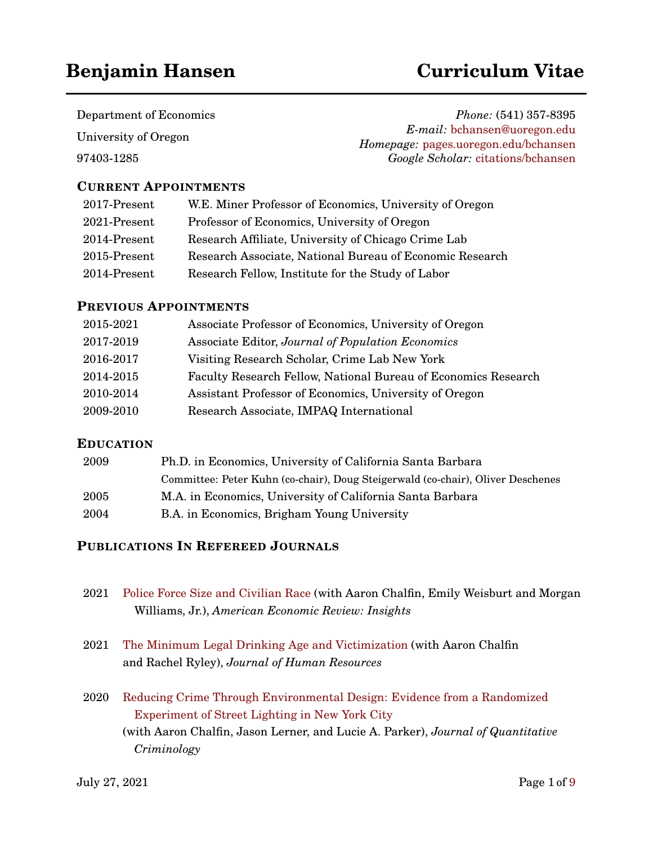# **Benjamin Hansen Curriculum Vitae**

Department of Economics University of Oregon

97403-1285

*Phone:* (541) 357-8395 *E-mail:* [bchansen@uoregon.edu](mailto:bchansen@uoregon.edu) *Homepage:* [pages.uoregon.edu/bchansen](http://pages.uoregon.edu/bchansen) *Google Scholar:* [citations/bchansen](https://scholar.google.com/citations?user=5FJrCDkAAAAJ&hl=en)

### **CURRENT APPOINTMENTS**

| 2017-Present | W.E. Miner Professor of Economics, University of Oregon  |
|--------------|----------------------------------------------------------|
| 2021-Present | Professor of Economics, University of Oregon             |
| 2014-Present | Research Affiliate, University of Chicago Crime Lab      |
| 2015-Present | Research Associate, National Bureau of Economic Research |
| 2014-Present | Research Fellow, Institute for the Study of Labor        |

### **PREVIOUS APPOINTMENTS**

| 2015-2021 | Associate Professor of Economics, University of Oregon         |
|-----------|----------------------------------------------------------------|
| 2017-2019 | Associate Editor, Journal of Population Economics              |
| 2016-2017 | Visiting Research Scholar, Crime Lab New York                  |
| 2014-2015 | Faculty Research Fellow, National Bureau of Economics Research |
| 2010-2014 | Assistant Professor of Economics, University of Oregon         |
| 2009-2010 | Research Associate, IMPAQ International                        |
|           |                                                                |

### **EDUCATION**

| 2009 | Ph.D. in Economics, University of California Santa Barbara                      |  |
|------|---------------------------------------------------------------------------------|--|
|      | Committee: Peter Kuhn (co-chair), Doug Steigerwald (co-chair), Oliver Deschenes |  |
| 2005 | M.A. in Economics, University of California Santa Barbara                       |  |
| 2004 | B.A. in Economics, Brigham Young University                                     |  |

### **PUBLICATIONS IN REFEREED JOURNALS**

| 2021 Police Force Size and Civilian Race (with Aaron Chalfin, Emily Weisburt and Morgan |
|-----------------------------------------------------------------------------------------|
| Williams, Jr.), American Economic Review: Insights                                      |

- 2021 [The Minimum Legal Drinking Age and Victimization](https://www.nber.org/papers/w26051) (with Aaron Chalfin and Rachel Ryley), *Journal of Human Resources*
- 2020 [Reducing Crime Through Environmental Design: Evidence from a Randomized](https://www.nber.org/papers/w25798) [Experiment of Street Lighting in New York City](https://www.nber.org/papers/w25798) (with Aaron Chalfin, Jason Lerner, and Lucie A. Parker), *Journal of Quantitative Criminology*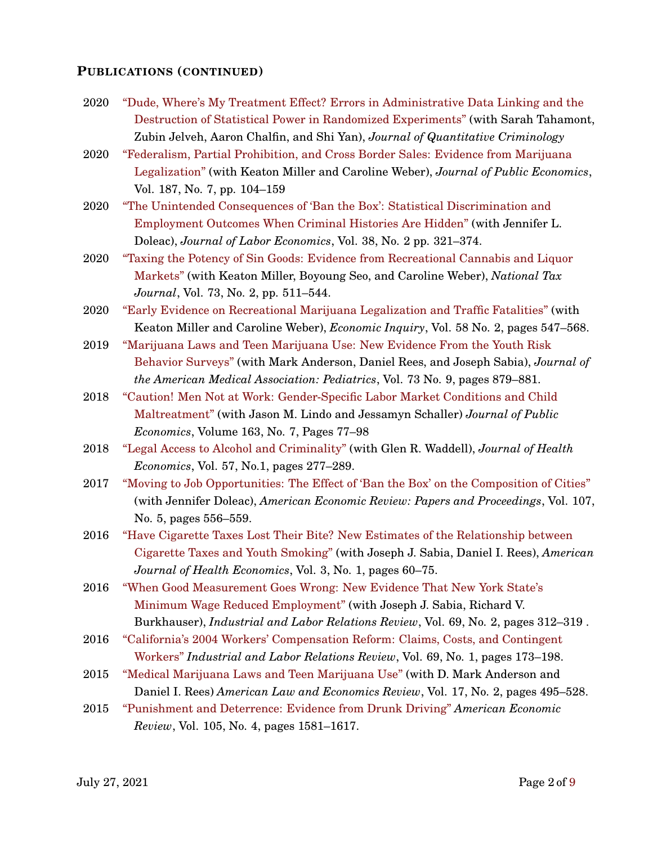#### **PUBLICATIONS (CONTINUED)**

- 2020 ["Dude, Where's My Treatment Effect? Errors in Administrative Data Linking and the](https://link.springer.com/article/10.1007/s10940-020-09461-x) [Destruction of Statistical Power in Randomized Experiments"](https://link.springer.com/article/10.1007/s10940-020-09461-x) (with Sarah Tahamont, Zubin Jelveh, Aaron Chalfin, and Shi Yan), *Journal of Quantitative Criminology*
- 2020 ["Federalism, Partial Prohibition, and Cross Border Sales: Evidence from Marijuana](https://www.sciencedirect.com/science/article/pii/S0047272720300232) [Legalization"](https://www.sciencedirect.com/science/article/pii/S0047272720300232) (with Keaton Miller and Caroline Weber), *Journal of Public Economics*, Vol. 187, No. 7, pp. 104–159
- 2020 ["The Unintended Consequences of 'Ban the Box': Statistical Discrimination and](https://www.journals.uchicago.edu/doi/abs/10.1086/705880?af=R&mobileUi=0) [Employment Outcomes When Criminal Histories Are Hidden"](https://www.journals.uchicago.edu/doi/abs/10.1086/705880?af=R&mobileUi=0) (with Jennifer L. Doleac), *Journal of Labor Economics*, Vol. 38, No. 2 pp. 321–374.
- 2020 ["Taxing the Potency of Sin Goods: Evidence from Recreational Cannabis and Liquor](http://www.ntanet.org/NTJ/73/2/ntj-v73n02p511-544-Taxing-Potency-of-Sin-Goods.html) [Markets"](http://www.ntanet.org/NTJ/73/2/ntj-v73n02p511-544-Taxing-Potency-of-Sin-Goods.html) (with Keaton Miller, Boyoung Seo, and Caroline Weber), *National Tax Journal*, Vol. 73, No. 2, pp. 511–544.
- 2020 ["Early Evidence on Recreational Marijuana Legalization and Traffic Fatalities"](https://onlinelibrary.wiley.com/doi/full/10.1111/ecin.12751) (with Keaton Miller and Caroline Weber), *Economic Inquiry*, Vol. 58 No. 2, pages 547–568.
- 2019 ["Marijuana Laws and Teen Marijuana Use: New Evidence From the Youth Risk](https://jamanetwork.com/journals/jamapediatrics/article-abstract/2737637) [Behavior Surveys"](https://jamanetwork.com/journals/jamapediatrics/article-abstract/2737637) (with Mark Anderson, Daniel Rees, and Joseph Sabia), *Journal of the American Medical Association: Pediatrics*, Vol. 73 No. 9, pages 879–881.
- 2018 ["Caution! Men Not at Work: Gender-Specific Labor Market Conditions and Child](https://www.sciencedirect.com/science/article/pii/S0047272718300689) [Maltreatment"](https://www.sciencedirect.com/science/article/pii/S0047272718300689) (with Jason M. Lindo and Jessamyn Schaller) *Journal of Public Economics*, Volume 163, No. 7, Pages 77–98
- 2018 ["Legal Access to Alcohol and Criminality"](https://www.sciencedirect.com/science/article/pii/S0167629617307191) (with Glen R. Waddell), *Journal of Health Economics*, Vol. 57, No.1, pages 277–289.
- 2017 ["Moving to Job Opportunities: The Effect of 'Ban the Box' on the Composition of Cities"](https://www.aeaweb.org/articles?id=10.1257/aer.p20171002) (with Jennifer Doleac), *American Economic Review: Papers and Proceedings*, Vol. 107, No. 5, pages 556–559.
- 2016 ["Have Cigarette Taxes Lost Their Bite? New Estimates of the Relationship between](https://www.mitpressjournals.org/doi/abs/10.1162/AJHE_a_00067) [Cigarette Taxes and Youth Smoking"](https://www.mitpressjournals.org/doi/abs/10.1162/AJHE_a_00067) (with Joseph J. Sabia, Daniel I. Rees), *American Journal of Health Economics*, Vol. 3, No. 1, pages 60–75.
- 2016 ["When Good Measurement Goes Wrong: New Evidence That New York State's](https://www.mitpressjournals.org/doi/abs/10.1162/AJHE_a_00067) [Minimum Wage Reduced Employment"](https://www.mitpressjournals.org/doi/abs/10.1162/AJHE_a_00067) (with Joseph J. Sabia, Richard V. Burkhauser), *Industrial and Labor Relations Review*, Vol. 69, No. 2, pages 312–319 .
- 2016 ["California's 2004 Workers' Compensation Reform: Claims, Costs, and Contingent](http://journals.sagepub.com/doi/abs/10.1177/0019793915605507) [Workers"](http://journals.sagepub.com/doi/abs/10.1177/0019793915605507) *Industrial and Labor Relations Review*, Vol. 69, No. 1, pages 173–198.
- 2015 ["Medical Marijuana Laws and Teen Marijuana Use"](https://academic.oup.com/aler/article-abstract/17/2/495/197943) (with D. Mark Anderson and Daniel I. Rees) *American Law and Economics Review*, Vol. 17, No. 2, pages 495–528.
- 2015 ["Punishment and Deterrence: Evidence from Drunk Driving"](https://www.aeaweb.org/articles?id=10.1257/aer.20130189) *American Economic Review*, Vol. 105, No. 4, pages 1581–1617.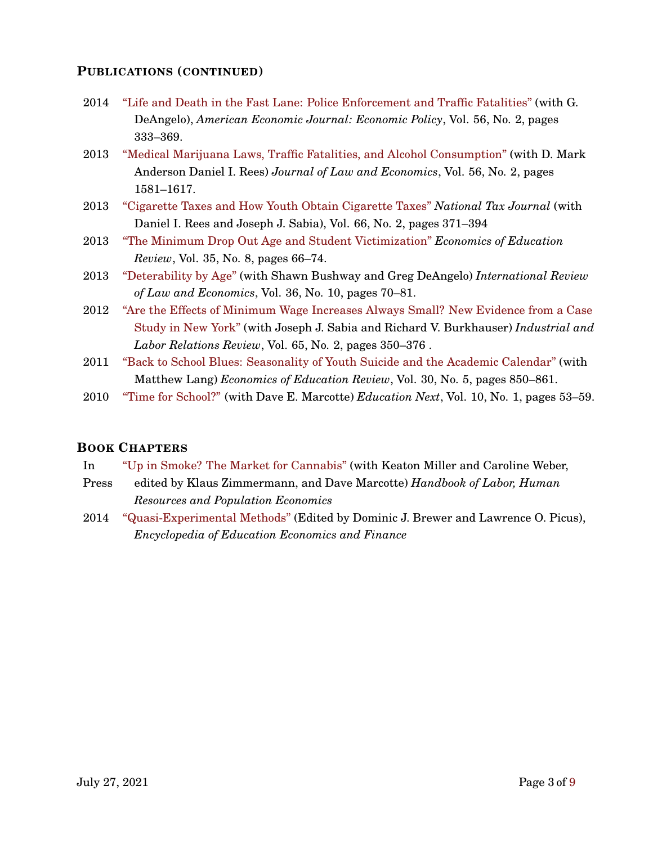### **PUBLICATIONS (CONTINUED)**

- 2014 ["Life and Death in the Fast Lane: Police Enforcement and Traffic Fatalities"](https://www.aeaweb.org/articles?id=10.1257/pol.6.2.231) (with G. DeAngelo), *American Economic Journal: Economic Policy*, Vol. 56, No. 2, pages 333–369.
- 2013 ["Medical Marijuana Laws, Traffic Fatalities, and Alcohol Consumption"](https://www.journals.uchicago.edu/doi/abs/10.1086/668812) (with D. Mark Anderson Daniel I. Rees) *Journal of Law and Economics*, Vol. 56, No. 2, pages 1581–1617.
- 2013 ["Cigarette Taxes and How Youth Obtain Cigarette Taxes"](https://www.ntanet.org/NTJ/66/2/ntj-v66n02p371-394-cigarrete-taxes-youth.html) *National Tax Journal* (with Daniel I. Rees and Joseph J. Sabia), Vol. 66, No. 2, pages 371–394
- 2013 ["The Minimum Drop Out Age and Student Victimization"](https://www.sciencedirect.com/science/article/abs/pii/S0272775713000484) *Economics of Education Review*, Vol. 35, No. 8, pages 66–74.
- 2013 ["Deterability by Age"](https://www.sciencedirect.com/science/article/abs/pii/S014481881300032X) (with Shawn Bushway and Greg DeAngelo) *International Review of Law and Economics*, Vol. 36, No. 10, pages 70–81.
- 2012 ["Are the Effects of Minimum Wage Increases Always Small? New Evidence from a Case](http://journals.sagepub.com/doi/abs/10.1177/001979391206500207) [Study in New York"](http://journals.sagepub.com/doi/abs/10.1177/001979391206500207) (with Joseph J. Sabia and Richard V. Burkhauser) *Industrial and Labor Relations Review*, Vol. 65, No. 2, pages 350–376 .
- 2011 ["Back to School Blues: Seasonality of Youth Suicide and the Academic Calendar"](https://www.sciencedirect.com/science/article/abs/pii/S0272775711000677) (with Matthew Lang) *Economics of Education Review*, Vol. 30, No. 5, pages 850–861.
- 2010 ["Time for School?"](https://educationnext.org/time-for-school) (with Dave E. Marcotte) *Education Next*, Vol. 10, No. 1, pages 53–59.

### **BOOK CHAPTERS**

- In ["Up in Smoke? The Market for Cannabis"](https://link.springer.com/referencework/10.1007/978-3-319-57365-6) (with Keaton Miller and Caroline Weber,
- Press edited by Klaus Zimmermann, and Dave Marcotte) *Handbook of Labor, Human Resources and Population Economics*
- 2014 ["Quasi-Experimental Methods"](http://sk.sagepub.com/reference/encyclopedia-of-education-economics-and-finance/i6896.xml) (Edited by Dominic J. Brewer and Lawrence O. Picus), *Encyclopedia of Education Economics and Finance*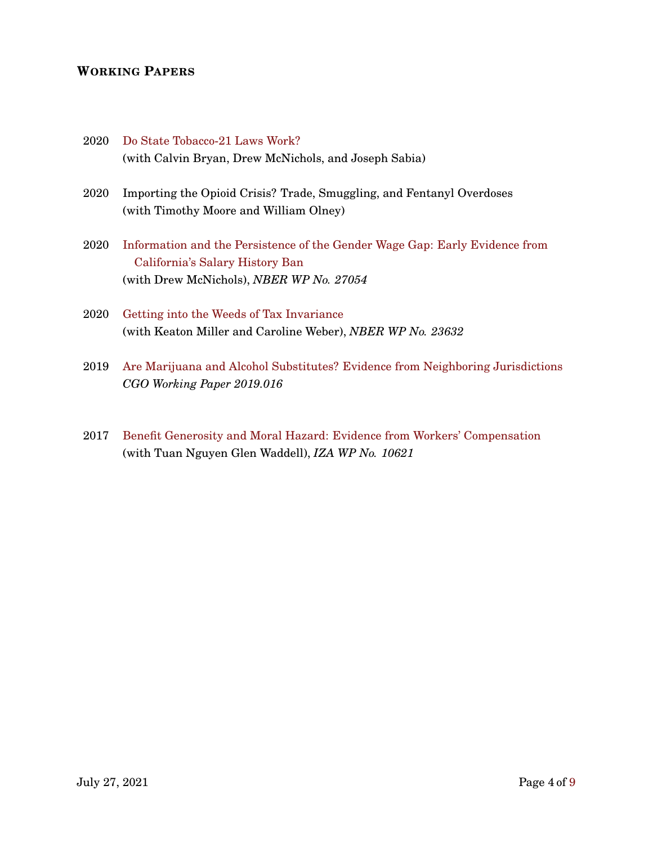### **WORKING PAPERS**

- 2020 [Do State Tobacco-21 Laws Work?](https://www.nber.org/papers/w28173) (with Calvin Bryan, Drew McNichols, and Joseph Sabia)
- 2020 Importing the Opioid Crisis? Trade, Smuggling, and Fentanyl Overdoses (with Timothy Moore and William Olney)
- 2020 [Information and the Persistence of the Gender Wage Gap: Early Evidence from](https://www.nber.org/papers/w27054) [California's Salary History Ban](https://www.nber.org/papers/w27054) (with Drew McNichols), *NBER WP No. 27054*
- 2020 [Getting into the Weeds of Tax Invariance](http://www.nber.org/papers/w23632) (with Keaton Miller and Caroline Weber), *NBER WP No. 23632*
- 2019 [Are Marijuana and Alcohol Substitutes? Evidence from Neighboring Jurisdictions](https://www.thecgo.org/wp-content/uploads/2020/04/working-paper-2019.016.pdf) *CGO Working Paper 2019.016*
- 2017 [Benefit Generosity and Moral Hazard: Evidence from Workers' Compensation](https://www.iza.org/publications/dp/10621/benefit-generosity-and-injury-duration-quasi-experimental-evidence-from-regression-kinks) (with Tuan Nguyen Glen Waddell), *IZA WP No. 10621*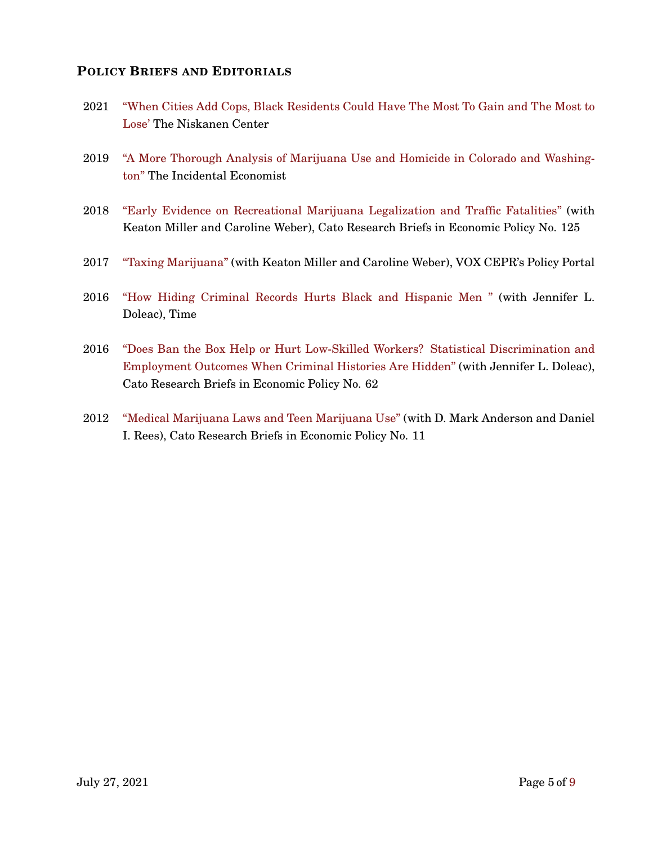### **POLICY BRIEFS AND EDITORIALS**

- 2021 ["When Cities Add Cops, Black Residents Could Have The Most To Gain and The Most to](https://www.niskanencenter.org/when-cities-add-cops-black-residents-could-have-the-most-to-gain-and-the-most-to-lose//) [Lose'](https://www.niskanencenter.org/when-cities-add-cops-black-residents-could-have-the-most-to-gain-and-the-most-to-lose//) The Niskanen Center
- 2019 ["A More Thorough Analysis of Marijuana Use and Homicide in Colorado and Washing](https://theincidentaleconomist.com/wordpress/a-more-thorough-analysis-of-marijuana-use-and-homicide-in-colorado-and-washington/)[ton"](https://theincidentaleconomist.com/wordpress/a-more-thorough-analysis-of-marijuana-use-and-homicide-in-colorado-and-washington/) The Incidental Economist
- 2018 ["Early Evidence on Recreational Marijuana Legalization and Traffic Fatalities"](https://www.cato.org/publications/research-briefs-economic-policy/early-evidence-recreational-marijuana-legalization) (with Keaton Miller and Caroline Weber), Cato Research Briefs in Economic Policy No. 125
- 2017 ["Taxing Marijuana"](https://voxeu.org/article/taxing-marijuana) (with Keaton Miller and Caroline Weber), VOX CEPR's Policy Portal
- 2016 ["How Hiding Criminal Records Hurts Black and Hispanic Men "](https://http://time.com/4482150/ban-the-box-unintended-discrimination/) (with Jennifer L. Doleac), Time
- 2016 ["Does Ban the Box Help or Hurt Low-Skilled Workers? Statistical Discrimination and](https://www.cato.org/publications/research-briefs-economic-policy/does-ban-box-help-or-hurt-low-skilled-workers) [Employment Outcomes When Criminal Histories Are Hidden"](https://www.cato.org/publications/research-briefs-economic-policy/does-ban-box-help-or-hurt-low-skilled-workers) (with Jennifer L. Doleac), Cato Research Briefs in Economic Policy No. 62
- 2012 ["Medical Marijuana Laws and Teen Marijuana Use"](https://www.cato.org/publications/research-briefs-economic-policy/medical-marijuana-laws-teen-marijuana-use) (with D. Mark Anderson and Daniel I. Rees), Cato Research Briefs in Economic Policy No. 11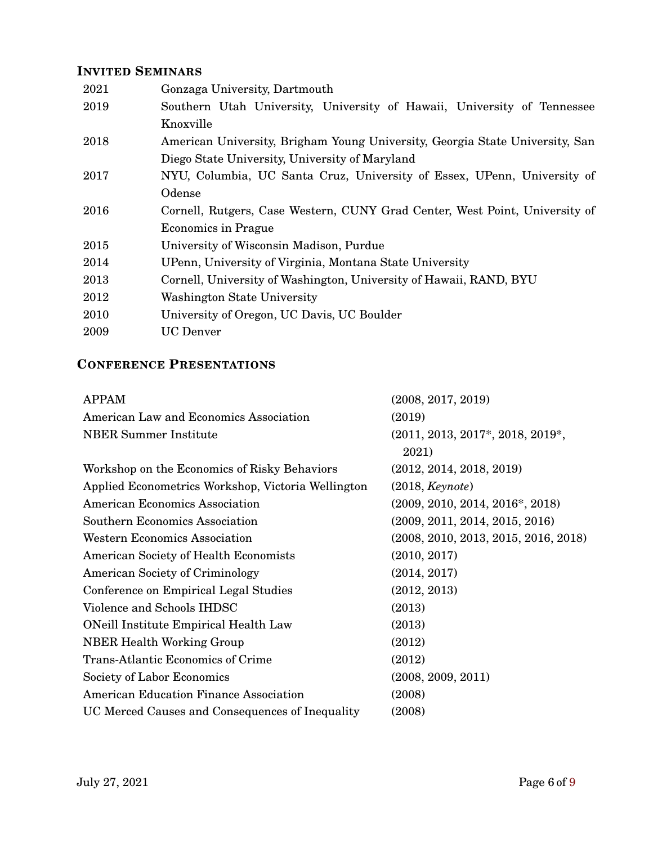## **INVITED SEMINARS**

| 2021 | Gonzaga University, Dartmouth                                                |
|------|------------------------------------------------------------------------------|
| 2019 | Southern Utah University, University of Hawaii, University of Tennessee      |
|      | Knoxville                                                                    |
| 2018 | American University, Brigham Young University, Georgia State University, San |
|      | Diego State University, University of Maryland                               |
| 2017 | NYU, Columbia, UC Santa Cruz, University of Essex, UPenn, University of      |
|      | Odense                                                                       |
| 2016 | Cornell, Rutgers, Case Western, CUNY Grad Center, West Point, University of  |
|      | <b>Economics in Prague</b>                                                   |
| 2015 | University of Wisconsin Madison, Purdue                                      |
| 2014 | UPenn, University of Virginia, Montana State University                      |
| 2013 | Cornell, University of Washington, University of Hawaii, RAND, BYU           |
| 2012 | Washington State University                                                  |
| 2010 | University of Oregon, UC Davis, UC Boulder                                   |
| 2009 | UC Denver                                                                    |

# **CONFERENCE PRESENTATIONS**

| <b>APPAM</b>                                       | (2008, 2017, 2019)                   |
|----------------------------------------------------|--------------------------------------|
| American Law and Economics Association             | (2019)                               |
| <b>NBER Summer Institute</b>                       | (2011, 2013, 2017*, 2018, 2019*,     |
|                                                    | 2021)                                |
| Workshop on the Economics of Risky Behaviors       | (2012, 2014, 2018, 2019)             |
| Applied Econometrics Workshop, Victoria Wellington | (2018, Keynote)                      |
| American Economics Association                     | $(2009, 2010, 2014, 2016^*, 2018)$   |
| <b>Southern Economics Association</b>              | (2009, 2011, 2014, 2015, 2016)       |
| <b>Western Economics Association</b>               | (2008, 2010, 2013, 2015, 2016, 2018) |
| American Society of Health Economists              | (2010, 2017)                         |
| <b>American Society of Criminology</b>             | (2014, 2017)                         |
| Conference on Empirical Legal Studies              | (2012, 2013)                         |
| Violence and Schools IHDSC                         | (2013)                               |
| <b>ONeill Institute Empirical Health Law</b>       | (2013)                               |
| <b>NBER Health Working Group</b>                   | (2012)                               |
| <b>Trans-Atlantic Economics of Crime</b>           | (2012)                               |
| Society of Labor Economics                         | (2008, 2009, 2011)                   |
| American Education Finance Association             | (2008)                               |
| UC Merced Causes and Consequences of Inequality    | (2008)                               |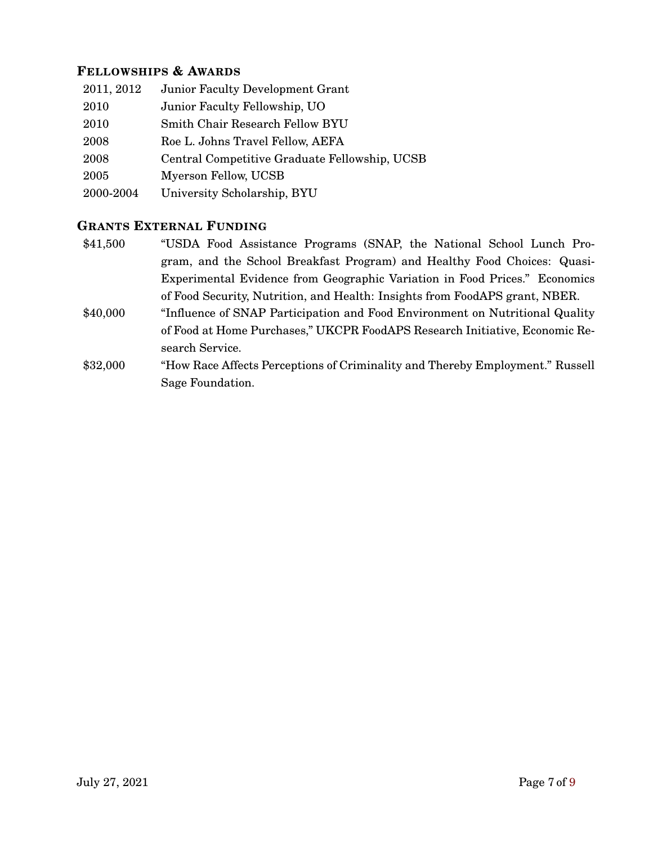### **FELLOWSHIPS & AWARDS**

| 2011, 2012 | <b>Junior Faculty Development Grant</b>       |
|------------|-----------------------------------------------|
| 2010       | Junior Faculty Fellowship, UO                 |
| 2010       | Smith Chair Research Fellow BYU               |
| 2008       | Roe L. Johns Travel Fellow, AEFA              |
| 2008       | Central Competitive Graduate Fellowship, UCSB |
| 2005       | Myerson Fellow, UCSB                          |
| 2000-2004  | University Scholarship, BYU                   |

### **GRANTS EXTERNAL FUNDING**

- \$41,500 "USDA Food Assistance Programs (SNAP, the National School Lunch Program, and the School Breakfast Program) and Healthy Food Choices: Quasi-Experimental Evidence from Geographic Variation in Food Prices." Economics of Food Security, Nutrition, and Health: Insights from FoodAPS grant, NBER.
- \$40,000 "Influence of SNAP Participation and Food Environment on Nutritional Quality of Food at Home Purchases," UKCPR FoodAPS Research Initiative, Economic Research Service.
- \$32,000 "How Race Affects Perceptions of Criminality and Thereby Employment." Russell Sage Foundation.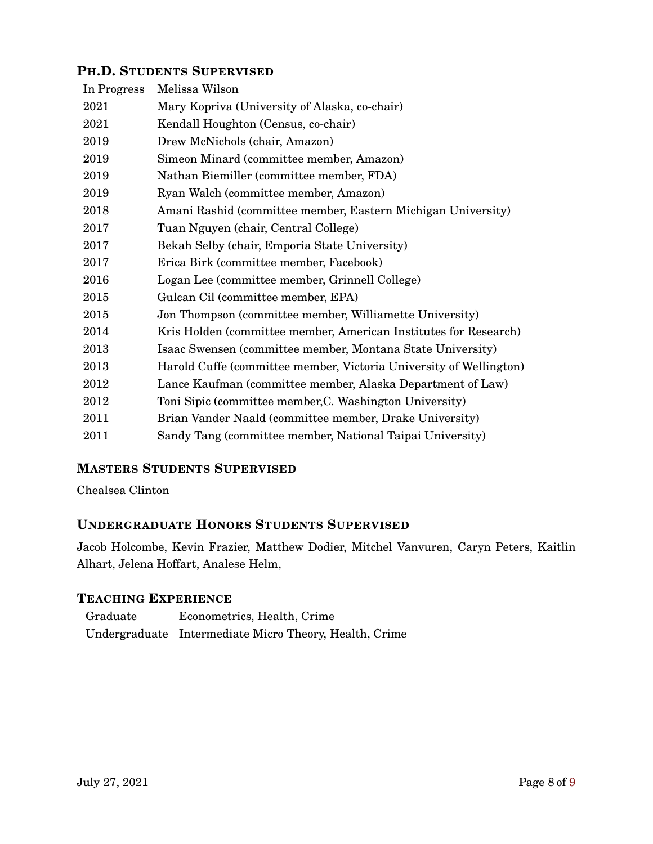### **PH.D. STUDENTS SUPERVISED**

| Melissa Wilson                                                     |
|--------------------------------------------------------------------|
| Mary Kopriva (University of Alaska, co-chair)                      |
| Kendall Houghton (Census, co-chair)                                |
| Drew McNichols (chair, Amazon)                                     |
| Simeon Minard (committee member, Amazon)                           |
| Nathan Biemiller (committee member, FDA)                           |
| Ryan Walch (committee member, Amazon)                              |
| Amani Rashid (committee member, Eastern Michigan University)       |
| Tuan Nguyen (chair, Central College)                               |
| Bekah Selby (chair, Emporia State University)                      |
| Erica Birk (committee member, Facebook)                            |
| Logan Lee (committee member, Grinnell College)                     |
| Gulcan Cil (committee member, EPA)                                 |
| Jon Thompson (committee member, Williamette University)            |
| Kris Holden (committee member, American Institutes for Research)   |
| Isaac Swensen (committee member, Montana State University)         |
| Harold Cuffe (committee member, Victoria University of Wellington) |
| Lance Kaufman (committee member, Alaska Department of Law)         |
| Toni Sipic (committee member, C. Washington University)            |
| Brian Vander Naald (committee member, Drake University)            |
| Sandy Tang (committee member, National Taipai University)          |
|                                                                    |

# **MASTERS STUDENTS SUPERVISED**

Chealsea Clinton

### **UNDERGRADUATE HONORS STUDENTS SUPERVISED**

Jacob Holcombe, Kevin Frazier, Matthew Dodier, Mitchel Vanvuren, Caryn Peters, Kaitlin Alhart, Jelena Hoffart, Analese Helm,

### **TEACHING EXPERIENCE**

| Graduate | Econometrics, Health, Crime                            |
|----------|--------------------------------------------------------|
|          | Undergraduate Intermediate Micro Theory, Health, Crime |